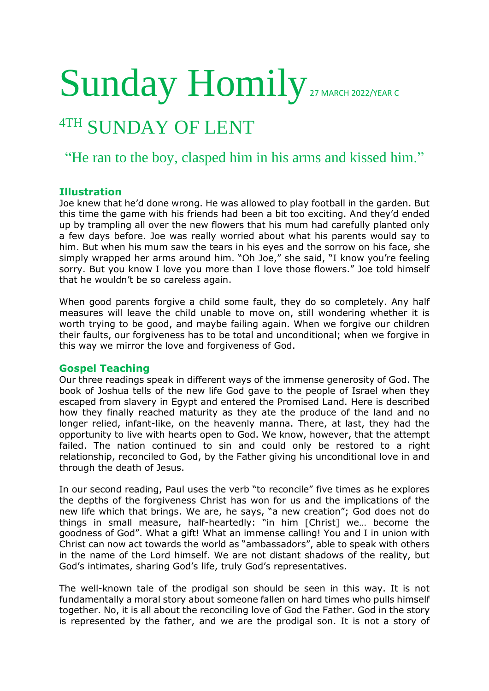# Sunday Homily 27 MARCH 2022/YEAR C

## 4TH SUNDAY OF LENT

### "He ran to the boy, clasped him in his arms and kissed him."

#### **Illustration**

Joe knew that he'd done wrong. He was allowed to play football in the garden. But this time the game with his friends had been a bit too exciting. And they'd ended up by trampling all over the new flowers that his mum had carefully planted only a few days before. Joe was really worried about what his parents would say to him. But when his mum saw the tears in his eyes and the sorrow on his face, she simply wrapped her arms around him. "Oh Joe," she said, "I know you're feeling sorry. But you know I love you more than I love those flowers." Joe told himself that he wouldn't be so careless again.

When good parents forgive a child some fault, they do so completely. Any half measures will leave the child unable to move on, still wondering whether it is worth trying to be good, and maybe failing again. When we forgive our children their faults, our forgiveness has to be total and unconditional; when we forgive in this way we mirror the love and forgiveness of God.

#### **Gospel Teaching**

Our three readings speak in different ways of the immense generosity of God. The book of Joshua tells of the new life God gave to the people of Israel when they escaped from slavery in Egypt and entered the Promised Land. Here is described how they finally reached maturity as they ate the produce of the land and no longer relied, infant-like, on the heavenly manna. There, at last, they had the opportunity to live with hearts open to God. We know, however, that the attempt failed. The nation continued to sin and could only be restored to a right relationship, reconciled to God, by the Father giving his unconditional love in and through the death of Jesus.

In our second reading, Paul uses the verb "to reconcile" five times as he explores the depths of the forgiveness Christ has won for us and the implications of the new life which that brings. We are, he says, "a new creation"; God does not do things in small measure, half-heartedly: "in him [Christ] we… become the goodness of God". What a gift! What an immense calling! You and I in union with Christ can now act towards the world as "ambassadors", able to speak with others in the name of the Lord himself. We are not distant shadows of the reality, but God's intimates, sharing God's life, truly God's representatives.

The well-known tale of the prodigal son should be seen in this way. It is not fundamentally a moral story about someone fallen on hard times who pulls himself together. No, it is all about the reconciling love of God the Father. God in the story is represented by the father, and we are the prodigal son. It is not a story of